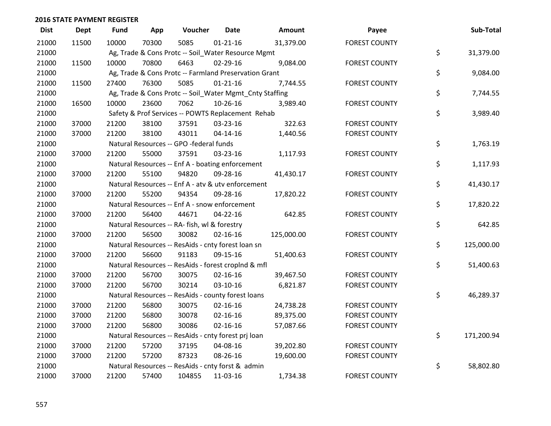| <b>Dist</b> | <b>Dept</b> | <b>Fund</b> | App   | Voucher                                                 | <b>Date</b>    | Amount     | Payee                | Sub-Total        |
|-------------|-------------|-------------|-------|---------------------------------------------------------|----------------|------------|----------------------|------------------|
| 21000       | 11500       | 10000       | 70300 | 5085                                                    | $01 - 21 - 16$ | 31,379.00  | <b>FOREST COUNTY</b> |                  |
| 21000       |             |             |       | Ag, Trade & Cons Protc -- Soil_Water Resource Mgmt      |                |            |                      | \$<br>31,379.00  |
| 21000       | 11500       | 10000       | 70800 | 6463                                                    | $02 - 29 - 16$ | 9,084.00   | <b>FOREST COUNTY</b> |                  |
| 21000       |             |             |       | Ag, Trade & Cons Protc -- Farmland Preservation Grant   |                |            |                      | \$<br>9,084.00   |
| 21000       | 11500       | 27400       | 76300 | 5085                                                    | $01 - 21 - 16$ | 7,744.55   | <b>FOREST COUNTY</b> |                  |
| 21000       |             |             |       | Ag, Trade & Cons Protc -- Soil_Water Mgmt_Cnty Staffing |                |            |                      | \$<br>7,744.55   |
| 21000       | 16500       | 10000       | 23600 | 7062                                                    | $10-26-16$     | 3,989.40   | <b>FOREST COUNTY</b> |                  |
| 21000       |             |             |       | Safety & Prof Services -- POWTS Replacement Rehab       |                |            |                      | \$<br>3,989.40   |
| 21000       | 37000       | 21200       | 38100 | 37591                                                   | 03-23-16       | 322.63     | <b>FOREST COUNTY</b> |                  |
| 21000       | 37000       | 21200       | 38100 | 43011                                                   | $04 - 14 - 16$ | 1,440.56   | <b>FOREST COUNTY</b> |                  |
| 21000       |             |             |       | Natural Resources -- GPO -federal funds                 |                |            |                      | \$<br>1,763.19   |
| 21000       | 37000       | 21200       | 55000 | 37591                                                   | 03-23-16       | 1,117.93   | <b>FOREST COUNTY</b> |                  |
| 21000       |             |             |       | Natural Resources -- Enf A - boating enforcement        |                |            |                      | \$<br>1,117.93   |
| 21000       | 37000       | 21200       | 55100 | 94820                                                   | 09-28-16       | 41,430.17  | <b>FOREST COUNTY</b> |                  |
| 21000       |             |             |       | Natural Resources -- Enf A - atv & utv enforcement      |                |            |                      | \$<br>41,430.17  |
| 21000       | 37000       | 21200       | 55200 | 94354                                                   | 09-28-16       | 17,820.22  | <b>FOREST COUNTY</b> |                  |
| 21000       |             |             |       | Natural Resources -- Enf A - snow enforcement           |                |            |                      | \$<br>17,820.22  |
| 21000       | 37000       | 21200       | 56400 | 44671                                                   | $04 - 22 - 16$ | 642.85     | <b>FOREST COUNTY</b> |                  |
| 21000       |             |             |       | Natural Resources -- RA- fish, wl & forestry            |                |            |                      | \$<br>642.85     |
| 21000       | 37000       | 21200       | 56500 | 30082                                                   | $02 - 16 - 16$ | 125,000.00 | <b>FOREST COUNTY</b> |                  |
| 21000       |             |             |       | Natural Resources -- ResAids - cnty forest loan sn      |                |            |                      | \$<br>125,000.00 |
| 21000       | 37000       | 21200       | 56600 | 91183                                                   | 09-15-16       | 51,400.63  | <b>FOREST COUNTY</b> |                  |
| 21000       |             |             |       | Natural Resources -- ResAids - forest croplnd & mfl     |                |            |                      | \$<br>51,400.63  |
| 21000       | 37000       | 21200       | 56700 | 30075                                                   | $02 - 16 - 16$ | 39,467.50  | <b>FOREST COUNTY</b> |                  |
| 21000       | 37000       | 21200       | 56700 | 30214                                                   | 03-10-16       | 6,821.87   | <b>FOREST COUNTY</b> |                  |
| 21000       |             |             |       | Natural Resources -- ResAids - county forest loans      |                |            |                      | \$<br>46,289.37  |
| 21000       | 37000       | 21200       | 56800 | 30075                                                   | $02 - 16 - 16$ | 24,738.28  | <b>FOREST COUNTY</b> |                  |
| 21000       | 37000       | 21200       | 56800 | 30078                                                   | $02 - 16 - 16$ | 89,375.00  | <b>FOREST COUNTY</b> |                  |
| 21000       | 37000       | 21200       | 56800 | 30086                                                   | $02 - 16 - 16$ | 57,087.66  | <b>FOREST COUNTY</b> |                  |
| 21000       |             |             |       | Natural Resources -- ResAids - cnty forest prj loan     |                |            |                      | \$<br>171,200.94 |
| 21000       | 37000       | 21200       | 57200 | 37195                                                   | 04-08-16       | 39,202.80  | <b>FOREST COUNTY</b> |                  |
| 21000       | 37000       | 21200       | 57200 | 87323                                                   | 08-26-16       | 19,600.00  | <b>FOREST COUNTY</b> |                  |
| 21000       |             |             |       | Natural Resources -- ResAids - cnty forst & admin       |                |            |                      | \$<br>58,802.80  |
| 21000       | 37000       | 21200       | 57400 | 104855                                                  | 11-03-16       | 1,734.38   | <b>FOREST COUNTY</b> |                  |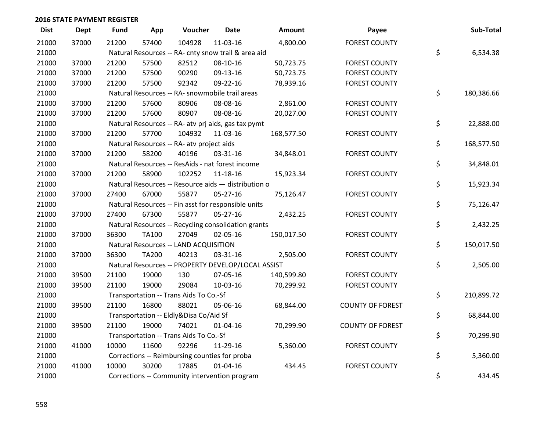| <b>Dist</b> | <b>Dept</b> | <b>Fund</b> | App          | Voucher                                             | <b>Date</b>    | <b>Amount</b> | Payee                   | Sub-Total        |
|-------------|-------------|-------------|--------------|-----------------------------------------------------|----------------|---------------|-------------------------|------------------|
| 21000       | 37000       | 21200       | 57400        | 104928                                              | 11-03-16       | 4,800.00      | <b>FOREST COUNTY</b>    |                  |
| 21000       |             |             |              | Natural Resources -- RA- cnty snow trail & area aid |                |               |                         | \$<br>6,534.38   |
| 21000       | 37000       | 21200       | 57500        | 82512                                               | 08-10-16       | 50,723.75     | <b>FOREST COUNTY</b>    |                  |
| 21000       | 37000       | 21200       | 57500        | 90290                                               | 09-13-16       | 50,723.75     | <b>FOREST COUNTY</b>    |                  |
| 21000       | 37000       | 21200       | 57500        | 92342                                               | 09-22-16       | 78,939.16     | <b>FOREST COUNTY</b>    |                  |
| 21000       |             |             |              | Natural Resources -- RA- snowmobile trail areas     |                |               |                         | \$<br>180,386.66 |
| 21000       | 37000       | 21200       | 57600        | 80906                                               | 08-08-16       | 2,861.00      | <b>FOREST COUNTY</b>    |                  |
| 21000       | 37000       | 21200       | 57600        | 80907                                               | 08-08-16       | 20,027.00     | <b>FOREST COUNTY</b>    |                  |
| 21000       |             |             |              | Natural Resources -- RA- atv prj aids, gas tax pymt |                |               |                         | \$<br>22,888.00  |
| 21000       | 37000       | 21200       | 57700        | 104932                                              | 11-03-16       | 168,577.50    | <b>FOREST COUNTY</b>    |                  |
| 21000       |             |             |              | Natural Resources -- RA- atv project aids           |                |               |                         | \$<br>168,577.50 |
| 21000       | 37000       | 21200       | 58200        | 40196                                               | 03-31-16       | 34,848.01     | <b>FOREST COUNTY</b>    |                  |
| 21000       |             |             |              | Natural Resources -- ResAids - nat forest income    |                |               |                         | \$<br>34,848.01  |
| 21000       | 37000       | 21200       | 58900        | 102252                                              | $11 - 18 - 16$ | 15,923.34     | <b>FOREST COUNTY</b>    |                  |
| 21000       |             |             |              | Natural Resources -- Resource aids - distribution o |                |               |                         | \$<br>15,923.34  |
| 21000       | 37000       | 27400       | 67000        | 55877                                               | 05-27-16       | 75,126.47     | <b>FOREST COUNTY</b>    |                  |
| 21000       |             |             |              | Natural Resources -- Fin asst for responsible units |                |               |                         | \$<br>75,126.47  |
| 21000       | 37000       | 27400       | 67300        | 55877                                               | 05-27-16       | 2,432.25      | <b>FOREST COUNTY</b>    |                  |
| 21000       |             |             |              | Natural Resources -- Recycling consolidation grants |                |               |                         | \$<br>2,432.25   |
| 21000       | 37000       | 36300       | <b>TA100</b> | 27049                                               | 02-05-16       | 150,017.50    | <b>FOREST COUNTY</b>    |                  |
| 21000       |             |             |              | Natural Resources -- LAND ACQUISITION               |                |               |                         | \$<br>150,017.50 |
| 21000       | 37000       | 36300       | TA200        | 40213                                               | 03-31-16       | 2,505.00      | <b>FOREST COUNTY</b>    |                  |
| 21000       |             |             |              | Natural Resources -- PROPERTY DEVELOP/LOCAL ASSIST  |                |               |                         | \$<br>2,505.00   |
| 21000       | 39500       | 21100       | 19000        | 130                                                 | 07-05-16       | 140,599.80    | <b>FOREST COUNTY</b>    |                  |
| 21000       | 39500       | 21100       | 19000        | 29084                                               | 10-03-16       | 70,299.92     | <b>FOREST COUNTY</b>    |                  |
| 21000       |             |             |              | Transportation -- Trans Aids To Co.-Sf              |                |               |                         | \$<br>210,899.72 |
| 21000       | 39500       | 21100       | 16800        | 88021                                               | 05-06-16       | 68,844.00     | <b>COUNTY OF FOREST</b> |                  |
| 21000       |             |             |              | Transportation -- Eldly&Disa Co/Aid Sf              |                |               |                         | \$<br>68,844.00  |
| 21000       | 39500       | 21100       | 19000        | 74021                                               | $01 - 04 - 16$ | 70,299.90     | <b>COUNTY OF FOREST</b> |                  |
| 21000       |             |             |              | Transportation -- Trans Aids To Co.-Sf              |                |               |                         | \$<br>70,299.90  |
| 21000       | 41000       | 10000       | 11600        | 92296                                               | 11-29-16       | 5,360.00      | <b>FOREST COUNTY</b>    |                  |
| 21000       |             |             |              | Corrections -- Reimbursing counties for proba       |                |               |                         | \$<br>5,360.00   |
| 21000       | 41000       | 10000       | 30200        | 17885                                               | $01 - 04 - 16$ | 434.45        | <b>FOREST COUNTY</b>    |                  |
| 21000       |             |             |              | Corrections -- Community intervention program       |                |               |                         | \$<br>434.45     |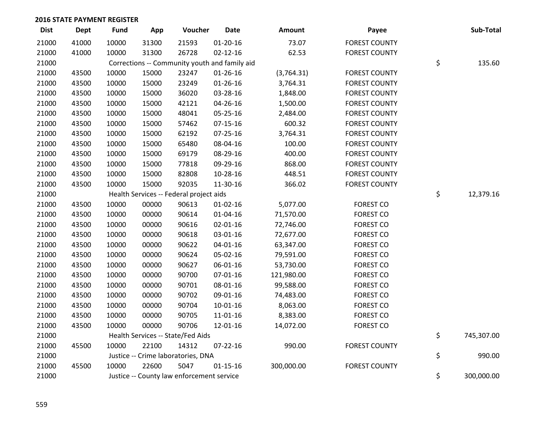| <b>Dist</b> | Dept  | <b>Fund</b> | App   | Voucher                                       | <b>Date</b>    | Amount     | Payee                | Sub-Total        |
|-------------|-------|-------------|-------|-----------------------------------------------|----------------|------------|----------------------|------------------|
| 21000       | 41000 | 10000       | 31300 | 21593                                         | $01 - 20 - 16$ | 73.07      | <b>FOREST COUNTY</b> |                  |
| 21000       | 41000 | 10000       | 31300 | 26728                                         | $02 - 12 - 16$ | 62.53      | <b>FOREST COUNTY</b> |                  |
| 21000       |       |             |       | Corrections -- Community youth and family aid |                |            |                      | \$<br>135.60     |
| 21000       | 43500 | 10000       | 15000 | 23247                                         | $01 - 26 - 16$ | (3,764.31) | <b>FOREST COUNTY</b> |                  |
| 21000       | 43500 | 10000       | 15000 | 23249                                         | $01 - 26 - 16$ | 3,764.31   | <b>FOREST COUNTY</b> |                  |
| 21000       | 43500 | 10000       | 15000 | 36020                                         | 03-28-16       | 1,848.00   | <b>FOREST COUNTY</b> |                  |
| 21000       | 43500 | 10000       | 15000 | 42121                                         | 04-26-16       | 1,500.00   | <b>FOREST COUNTY</b> |                  |
| 21000       | 43500 | 10000       | 15000 | 48041                                         | 05-25-16       | 2,484.00   | <b>FOREST COUNTY</b> |                  |
| 21000       | 43500 | 10000       | 15000 | 57462                                         | 07-15-16       | 600.32     | <b>FOREST COUNTY</b> |                  |
| 21000       | 43500 | 10000       | 15000 | 62192                                         | $07 - 25 - 16$ | 3,764.31   | <b>FOREST COUNTY</b> |                  |
| 21000       | 43500 | 10000       | 15000 | 65480                                         | 08-04-16       | 100.00     | <b>FOREST COUNTY</b> |                  |
| 21000       | 43500 | 10000       | 15000 | 69179                                         | 08-29-16       | 400.00     | <b>FOREST COUNTY</b> |                  |
| 21000       | 43500 | 10000       | 15000 | 77818                                         | 09-29-16       | 868.00     | <b>FOREST COUNTY</b> |                  |
| 21000       | 43500 | 10000       | 15000 | 82808                                         | 10-28-16       | 448.51     | <b>FOREST COUNTY</b> |                  |
| 21000       | 43500 | 10000       | 15000 | 92035                                         | 11-30-16       | 366.02     | <b>FOREST COUNTY</b> |                  |
| 21000       |       |             |       | Health Services -- Federal project aids       |                |            |                      | \$<br>12,379.16  |
| 21000       | 43500 | 10000       | 00000 | 90613                                         | $01 - 02 - 16$ | 5,077.00   | <b>FOREST CO</b>     |                  |
| 21000       | 43500 | 10000       | 00000 | 90614                                         | 01-04-16       | 71,570.00  | <b>FOREST CO</b>     |                  |
| 21000       | 43500 | 10000       | 00000 | 90616                                         | $02 - 01 - 16$ | 72,746.00  | <b>FOREST CO</b>     |                  |
| 21000       | 43500 | 10000       | 00000 | 90618                                         | 03-01-16       | 72,677.00  | <b>FOREST CO</b>     |                  |
| 21000       | 43500 | 10000       | 00000 | 90622                                         | $04 - 01 - 16$ | 63,347.00  | <b>FOREST CO</b>     |                  |
| 21000       | 43500 | 10000       | 00000 | 90624                                         | 05-02-16       | 79,591.00  | <b>FOREST CO</b>     |                  |
| 21000       | 43500 | 10000       | 00000 | 90627                                         | 06-01-16       | 53,730.00  | <b>FOREST CO</b>     |                  |
| 21000       | 43500 | 10000       | 00000 | 90700                                         | $07 - 01 - 16$ | 121,980.00 | <b>FOREST CO</b>     |                  |
| 21000       | 43500 | 10000       | 00000 | 90701                                         | 08-01-16       | 99,588.00  | <b>FOREST CO</b>     |                  |
| 21000       | 43500 | 10000       | 00000 | 90702                                         | 09-01-16       | 74,483.00  | <b>FOREST CO</b>     |                  |
| 21000       | 43500 | 10000       | 00000 | 90704                                         | 10-01-16       | 8,063.00   | <b>FOREST CO</b>     |                  |
| 21000       | 43500 | 10000       | 00000 | 90705                                         | $11 - 01 - 16$ | 8,383.00   | <b>FOREST CO</b>     |                  |
| 21000       | 43500 | 10000       | 00000 | 90706                                         | 12-01-16       | 14,072.00  | <b>FOREST CO</b>     |                  |
| 21000       |       |             |       | Health Services -- State/Fed Aids             |                |            |                      | \$<br>745,307.00 |
| 21000       | 45500 | 10000       | 22100 | 14312                                         | $07 - 22 - 16$ | 990.00     | <b>FOREST COUNTY</b> |                  |
| 21000       |       |             |       | Justice -- Crime laboratories, DNA            |                |            |                      | \$<br>990.00     |
| 21000       | 45500 | 10000       | 22600 | 5047                                          | $01 - 15 - 16$ | 300,000.00 | <b>FOREST COUNTY</b> |                  |
| 21000       |       |             |       | Justice -- County law enforcement service     |                |            |                      | \$<br>300,000.00 |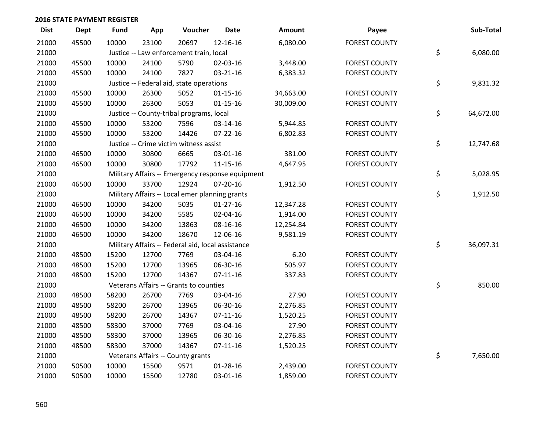| <b>Dist</b> | <b>Dept</b> | <b>Fund</b> | App   | Voucher                                           | <b>Date</b>                                      | <b>Amount</b> | Payee                | Sub-Total       |
|-------------|-------------|-------------|-------|---------------------------------------------------|--------------------------------------------------|---------------|----------------------|-----------------|
| 21000       | 45500       | 10000       | 23100 | 20697                                             | 12-16-16                                         | 6,080.00      | <b>FOREST COUNTY</b> |                 |
| 21000       |             |             |       | Justice -- Law enforcement train, local           |                                                  |               |                      | \$<br>6,080.00  |
| 21000       | 45500       | 10000       | 24100 | 5790                                              | 02-03-16                                         | 3,448.00      | <b>FOREST COUNTY</b> |                 |
| 21000       | 45500       | 10000       | 24100 | 7827                                              | 03-21-16                                         | 6,383.32      | <b>FOREST COUNTY</b> |                 |
| 21000       |             |             |       | Justice -- Federal aid, state operations          |                                                  |               |                      | \$<br>9,831.32  |
| 21000       | 45500       | 10000       | 26300 | 5052                                              | $01 - 15 - 16$                                   | 34,663.00     | <b>FOREST COUNTY</b> |                 |
| 21000       | 45500       | 10000       | 26300 | 5053                                              | $01 - 15 - 16$                                   | 30,009.00     | <b>FOREST COUNTY</b> |                 |
| 21000       |             |             |       | Justice -- County-tribal programs, local          |                                                  |               |                      | \$<br>64,672.00 |
| 21000       | 45500       | 10000       | 53200 | 7596                                              | 03-14-16                                         | 5,944.85      | <b>FOREST COUNTY</b> |                 |
| 21000       | 45500       | 10000       | 53200 | 14426                                             | $07 - 22 - 16$                                   | 6,802.83      | <b>FOREST COUNTY</b> |                 |
| 21000       |             |             |       | Justice -- Crime victim witness assist            |                                                  |               |                      | \$<br>12,747.68 |
| 21000       | 46500       | 10000       | 30800 | 6665                                              | 03-01-16                                         | 381.00        | <b>FOREST COUNTY</b> |                 |
| 21000       | 46500       | 10000       | 30800 | 17792                                             | $11 - 15 - 16$                                   | 4,647.95      | <b>FOREST COUNTY</b> |                 |
| 21000       |             |             |       |                                                   | Military Affairs -- Emergency response equipment |               |                      | \$<br>5,028.95  |
| 21000       | 46500       | 10000       | 33700 | 12924                                             | $07 - 20 - 16$                                   | 1,912.50      | <b>FOREST COUNTY</b> |                 |
| 21000       |             |             |       | Military Affairs -- Local emer planning grants    |                                                  |               |                      | \$<br>1,912.50  |
| 21000       | 46500       | 10000       | 34200 | 5035                                              | $01-27-16$                                       | 12,347.28     | <b>FOREST COUNTY</b> |                 |
| 21000       | 46500       | 10000       | 34200 | 5585                                              | 02-04-16                                         | 1,914.00      | <b>FOREST COUNTY</b> |                 |
| 21000       | 46500       | 10000       | 34200 | 13863                                             | 08-16-16                                         | 12,254.84     | <b>FOREST COUNTY</b> |                 |
| 21000       | 46500       | 10000       | 34200 | 18670                                             | 12-06-16                                         | 9,581.19      | <b>FOREST COUNTY</b> |                 |
| 21000       |             |             |       | Military Affairs -- Federal aid, local assistance |                                                  |               |                      | \$<br>36,097.31 |
| 21000       | 48500       | 15200       | 12700 | 7769                                              | 03-04-16                                         | 6.20          | <b>FOREST COUNTY</b> |                 |
| 21000       | 48500       | 15200       | 12700 | 13965                                             | 06-30-16                                         | 505.97        | <b>FOREST COUNTY</b> |                 |
| 21000       | 48500       | 15200       | 12700 | 14367                                             | $07-11-16$                                       | 337.83        | <b>FOREST COUNTY</b> |                 |
| 21000       |             |             |       | Veterans Affairs -- Grants to counties            |                                                  |               |                      | \$<br>850.00    |
| 21000       | 48500       | 58200       | 26700 | 7769                                              | 03-04-16                                         | 27.90         | <b>FOREST COUNTY</b> |                 |
| 21000       | 48500       | 58200       | 26700 | 13965                                             | 06-30-16                                         | 2,276.85      | <b>FOREST COUNTY</b> |                 |
| 21000       | 48500       | 58200       | 26700 | 14367                                             | $07-11-16$                                       | 1,520.25      | <b>FOREST COUNTY</b> |                 |
| 21000       | 48500       | 58300       | 37000 | 7769                                              | 03-04-16                                         | 27.90         | <b>FOREST COUNTY</b> |                 |
| 21000       | 48500       | 58300       | 37000 | 13965                                             | 06-30-16                                         | 2,276.85      | <b>FOREST COUNTY</b> |                 |
| 21000       | 48500       | 58300       | 37000 | 14367                                             | $07-11-16$                                       | 1,520.25      | <b>FOREST COUNTY</b> |                 |
| 21000       |             |             |       | Veterans Affairs -- County grants                 |                                                  |               |                      | \$<br>7,650.00  |
| 21000       | 50500       | 10000       | 15500 | 9571                                              | $01 - 28 - 16$                                   | 2,439.00      | <b>FOREST COUNTY</b> |                 |
| 21000       | 50500       | 10000       | 15500 | 12780                                             | 03-01-16                                         | 1,859.00      | <b>FOREST COUNTY</b> |                 |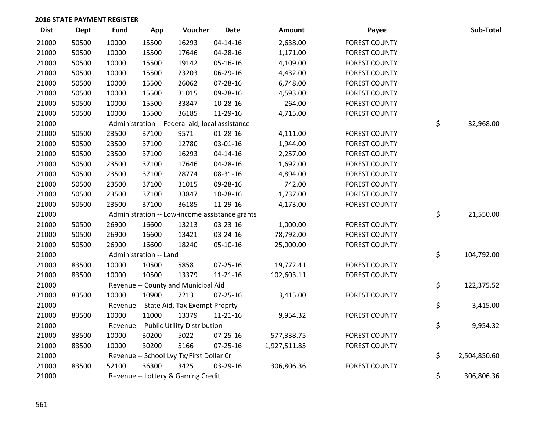| <b>Dist</b> | Dept  | <b>Fund</b> | App                    | Voucher                                         | <b>Date</b>    | <b>Amount</b> | Payee                | Sub-Total          |
|-------------|-------|-------------|------------------------|-------------------------------------------------|----------------|---------------|----------------------|--------------------|
| 21000       | 50500 | 10000       | 15500                  | 16293                                           | $04 - 14 - 16$ | 2,638.00      | <b>FOREST COUNTY</b> |                    |
| 21000       | 50500 | 10000       | 15500                  | 17646                                           | 04-28-16       | 1,171.00      | <b>FOREST COUNTY</b> |                    |
| 21000       | 50500 | 10000       | 15500                  | 19142                                           | 05-16-16       | 4,109.00      | <b>FOREST COUNTY</b> |                    |
| 21000       | 50500 | 10000       | 15500                  | 23203                                           | 06-29-16       | 4,432.00      | <b>FOREST COUNTY</b> |                    |
| 21000       | 50500 | 10000       | 15500                  | 26062                                           | 07-28-16       | 6,748.00      | <b>FOREST COUNTY</b> |                    |
| 21000       | 50500 | 10000       | 15500                  | 31015                                           | 09-28-16       | 4,593.00      | <b>FOREST COUNTY</b> |                    |
| 21000       | 50500 | 10000       | 15500                  | 33847                                           | 10-28-16       | 264.00        | <b>FOREST COUNTY</b> |                    |
| 21000       | 50500 | 10000       | 15500                  | 36185                                           | 11-29-16       | 4,715.00      | <b>FOREST COUNTY</b> |                    |
| 21000       |       |             |                        | Administration -- Federal aid, local assistance |                |               |                      | \$<br>32,968.00    |
| 21000       | 50500 | 23500       | 37100                  | 9571                                            | 01-28-16       | 4,111.00      | <b>FOREST COUNTY</b> |                    |
| 21000       | 50500 | 23500       | 37100                  | 12780                                           | 03-01-16       | 1,944.00      | <b>FOREST COUNTY</b> |                    |
| 21000       | 50500 | 23500       | 37100                  | 16293                                           | $04 - 14 - 16$ | 2,257.00      | <b>FOREST COUNTY</b> |                    |
| 21000       | 50500 | 23500       | 37100                  | 17646                                           | 04-28-16       | 1,692.00      | <b>FOREST COUNTY</b> |                    |
| 21000       | 50500 | 23500       | 37100                  | 28774                                           | 08-31-16       | 4,894.00      | <b>FOREST COUNTY</b> |                    |
| 21000       | 50500 | 23500       | 37100                  | 31015                                           | 09-28-16       | 742.00        | <b>FOREST COUNTY</b> |                    |
| 21000       | 50500 | 23500       | 37100                  | 33847                                           | 10-28-16       | 1,737.00      | <b>FOREST COUNTY</b> |                    |
| 21000       | 50500 | 23500       | 37100                  | 36185                                           | 11-29-16       | 4,173.00      | <b>FOREST COUNTY</b> |                    |
| 21000       |       |             |                        | Administration -- Low-income assistance grants  |                |               |                      | \$<br>21,550.00    |
| 21000       | 50500 | 26900       | 16600                  | 13213                                           | 03-23-16       | 1,000.00      | <b>FOREST COUNTY</b> |                    |
| 21000       | 50500 | 26900       | 16600                  | 13421                                           | 03-24-16       | 78,792.00     | <b>FOREST COUNTY</b> |                    |
| 21000       | 50500 | 26900       | 16600                  | 18240                                           | 05-10-16       | 25,000.00     | <b>FOREST COUNTY</b> |                    |
| 21000       |       |             | Administration -- Land |                                                 |                |               |                      | \$<br>104,792.00   |
| 21000       | 83500 | 10000       | 10500                  | 5858                                            | $07 - 25 - 16$ | 19,772.41     | <b>FOREST COUNTY</b> |                    |
| 21000       | 83500 | 10000       | 10500                  | 13379                                           | $11 - 21 - 16$ | 102,603.11    | <b>FOREST COUNTY</b> |                    |
| 21000       |       |             |                        | Revenue -- County and Municipal Aid             |                |               |                      | \$<br>122,375.52   |
| 21000       | 83500 | 10000       | 10900                  | 7213                                            | 07-25-16       | 3,415.00      | <b>FOREST COUNTY</b> |                    |
| 21000       |       |             |                        | Revenue -- State Aid, Tax Exempt Proprty        |                |               |                      | \$<br>3,415.00     |
| 21000       | 83500 | 10000       | 11000                  | 13379                                           | $11 - 21 - 16$ | 9,954.32      | <b>FOREST COUNTY</b> |                    |
| 21000       |       |             |                        | Revenue -- Public Utility Distribution          |                |               |                      | \$<br>9,954.32     |
| 21000       | 83500 | 10000       | 30200                  | 5022                                            | 07-25-16       | 577,338.75    | <b>FOREST COUNTY</b> |                    |
| 21000       | 83500 | 10000       | 30200                  | 5166                                            | $07 - 25 - 16$ | 1,927,511.85  | <b>FOREST COUNTY</b> |                    |
| 21000       |       |             |                        | Revenue -- School Lvy Tx/First Dollar Cr        |                |               |                      | \$<br>2,504,850.60 |
| 21000       | 83500 | 52100       | 36300                  | 3425                                            | 03-29-16       | 306,806.36    | <b>FOREST COUNTY</b> |                    |
| 21000       |       |             |                        | Revenue -- Lottery & Gaming Credit              |                |               |                      | \$<br>306,806.36   |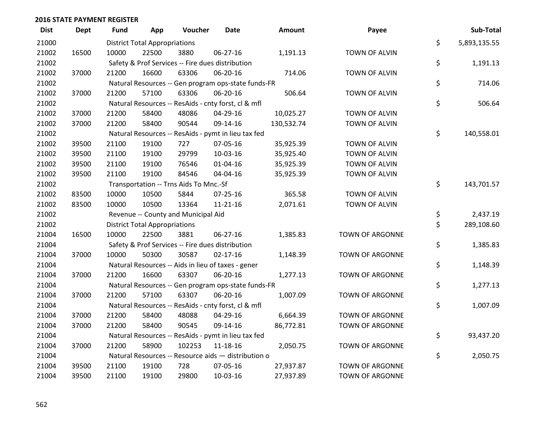| <b>Dist</b> | <b>Dept</b> | <b>Fund</b> | App                                  | Voucher                                             | <b>Date</b>    | <b>Amount</b> | Payee                  | Sub-Total          |
|-------------|-------------|-------------|--------------------------------------|-----------------------------------------------------|----------------|---------------|------------------------|--------------------|
| 21000       |             |             | <b>District Total Appropriations</b> |                                                     |                |               |                        | \$<br>5,893,135.55 |
| 21002       | 16500       | 10000       | 22500                                | 3880                                                | 06-27-16       | 1,191.13      | <b>TOWN OF ALVIN</b>   |                    |
| 21002       |             |             |                                      | Safety & Prof Services -- Fire dues distribution    |                |               |                        | \$<br>1,191.13     |
| 21002       | 37000       | 21200       | 16600                                | 63306                                               | 06-20-16       | 714.06        | <b>TOWN OF ALVIN</b>   |                    |
| 21002       |             |             |                                      | Natural Resources -- Gen program ops-state funds-FR |                |               |                        | \$<br>714.06       |
| 21002       | 37000       | 21200       | 57100                                | 63306                                               | 06-20-16       | 506.64        | <b>TOWN OF ALVIN</b>   |                    |
| 21002       |             |             |                                      | Natural Resources -- ResAids - cnty forst, cl & mfl |                |               |                        | \$<br>506.64       |
| 21002       | 37000       | 21200       | 58400                                | 48086                                               | 04-29-16       | 10,025.27     | TOWN OF ALVIN          |                    |
| 21002       | 37000       | 21200       | 58400                                | 90544                                               | 09-14-16       | 130,532.74    | TOWN OF ALVIN          |                    |
| 21002       |             |             |                                      | Natural Resources -- ResAids - pymt in lieu tax fed |                |               |                        | \$<br>140,558.01   |
| 21002       | 39500       | 21100       | 19100                                | 727                                                 | 07-05-16       | 35,925.39     | TOWN OF ALVIN          |                    |
| 21002       | 39500       | 21100       | 19100                                | 29799                                               | 10-03-16       | 35,925.40     | TOWN OF ALVIN          |                    |
| 21002       | 39500       | 21100       | 19100                                | 76546                                               | $01 - 04 - 16$ | 35,925.39     | TOWN OF ALVIN          |                    |
| 21002       | 39500       | 21100       | 19100                                | 84546                                               | 04-04-16       | 35,925.39     | TOWN OF ALVIN          |                    |
| 21002       |             |             |                                      | Transportation -- Trns Aids To Mnc.-Sf              |                |               |                        | \$<br>143,701.57   |
| 21002       | 83500       | 10000       | 10500                                | 5844                                                | 07-25-16       | 365.58        | TOWN OF ALVIN          |                    |
| 21002       | 83500       | 10000       | 10500                                | 13364                                               | $11 - 21 - 16$ | 2,071.61      | TOWN OF ALVIN          |                    |
| 21002       |             |             |                                      | Revenue -- County and Municipal Aid                 |                |               |                        | \$<br>2,437.19     |
| 21002       |             |             | <b>District Total Appropriations</b> |                                                     |                |               |                        | \$<br>289,108.60   |
| 21004       | 16500       | 10000       | 22500                                | 3881                                                | 06-27-16       | 1,385.83      | TOWN OF ARGONNE        |                    |
| 21004       |             |             |                                      | Safety & Prof Services -- Fire dues distribution    |                |               |                        | \$<br>1,385.83     |
| 21004       | 37000       | 10000       | 50300                                | 30587                                               | $02 - 17 - 16$ | 1,148.39      | TOWN OF ARGONNE        |                    |
| 21004       |             |             |                                      | Natural Resources -- Aids in lieu of taxes - gener  |                |               |                        | \$<br>1,148.39     |
| 21004       | 37000       | 21200       | 16600                                | 63307                                               | 06-20-16       | 1,277.13      | TOWN OF ARGONNE        |                    |
| 21004       |             |             |                                      | Natural Resources -- Gen program ops-state funds-FR |                |               |                        | \$<br>1,277.13     |
| 21004       | 37000       | 21200       | 57100                                | 63307                                               | 06-20-16       | 1,007.09      | TOWN OF ARGONNE        |                    |
| 21004       |             |             |                                      | Natural Resources -- ResAids - cnty forst, cl & mfl |                |               |                        | \$<br>1,007.09     |
| 21004       | 37000       | 21200       | 58400                                | 48088                                               | 04-29-16       | 6,664.39      | TOWN OF ARGONNE        |                    |
| 21004       | 37000       | 21200       | 58400                                | 90545                                               | 09-14-16       | 86,772.81     | TOWN OF ARGONNE        |                    |
| 21004       |             |             |                                      | Natural Resources -- ResAids - pymt in lieu tax fed |                |               |                        | \$<br>93,437.20    |
| 21004       | 37000       | 21200       | 58900                                | 102253                                              | 11-18-16       | 2,050.75      | TOWN OF ARGONNE        |                    |
| 21004       |             |             |                                      | Natural Resources -- Resource aids - distribution o |                |               |                        | \$<br>2,050.75     |
| 21004       | 39500       | 21100       | 19100                                | 728                                                 | 07-05-16       | 27,937.87     | <b>TOWN OF ARGONNE</b> |                    |
| 21004       | 39500       | 21100       | 19100                                | 29800                                               | 10-03-16       | 27,937.89     | TOWN OF ARGONNE        |                    |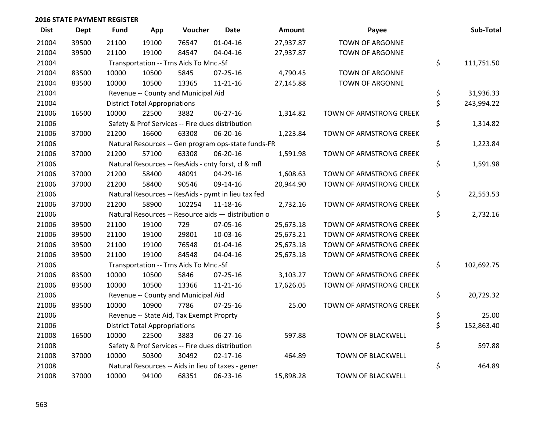| <b>Dist</b> | <b>Dept</b> | <b>Fund</b> | App                                  | Voucher                                  | <b>Date</b>                                         | <b>Amount</b> | Payee                    | Sub-Total        |
|-------------|-------------|-------------|--------------------------------------|------------------------------------------|-----------------------------------------------------|---------------|--------------------------|------------------|
| 21004       | 39500       | 21100       | 19100                                | 76547                                    | $01 - 04 - 16$                                      | 27,937.87     | <b>TOWN OF ARGONNE</b>   |                  |
| 21004       | 39500       | 21100       | 19100                                | 84547                                    | 04-04-16                                            | 27,937.87     | <b>TOWN OF ARGONNE</b>   |                  |
| 21004       |             |             |                                      | Transportation -- Trns Aids To Mnc.-Sf   |                                                     |               |                          | \$<br>111,751.50 |
| 21004       | 83500       | 10000       | 10500                                | 5845                                     | $07 - 25 - 16$                                      | 4,790.45      | <b>TOWN OF ARGONNE</b>   |                  |
| 21004       | 83500       | 10000       | 10500                                | 13365                                    | $11 - 21 - 16$                                      | 27,145.88     | <b>TOWN OF ARGONNE</b>   |                  |
| 21004       |             |             |                                      | Revenue -- County and Municipal Aid      |                                                     |               |                          | \$<br>31,936.33  |
| 21004       |             |             | <b>District Total Appropriations</b> |                                          |                                                     |               |                          | \$<br>243,994.22 |
| 21006       | 16500       | 10000       | 22500                                | 3882                                     | 06-27-16                                            | 1,314.82      | TOWN OF ARMSTRONG CREEK  |                  |
| 21006       |             |             |                                      |                                          | Safety & Prof Services -- Fire dues distribution    |               |                          | \$<br>1,314.82   |
| 21006       | 37000       | 21200       | 16600                                | 63308                                    | 06-20-16                                            | 1,223.84      | TOWN OF ARMSTRONG CREEK  |                  |
| 21006       |             |             |                                      |                                          | Natural Resources -- Gen program ops-state funds-FR |               |                          | \$<br>1,223.84   |
| 21006       | 37000       | 21200       | 57100                                | 63308                                    | 06-20-16                                            | 1,591.98      | TOWN OF ARMSTRONG CREEK  |                  |
| 21006       |             |             |                                      |                                          | Natural Resources -- ResAids - cnty forst, cl & mfl |               |                          | \$<br>1,591.98   |
| 21006       | 37000       | 21200       | 58400                                | 48091                                    | 04-29-16                                            | 1,608.63      | TOWN OF ARMSTRONG CREEK  |                  |
| 21006       | 37000       | 21200       | 58400                                | 90546                                    | 09-14-16                                            | 20,944.90     | TOWN OF ARMSTRONG CREEK  |                  |
| 21006       |             |             |                                      |                                          | Natural Resources -- ResAids - pymt in lieu tax fed |               |                          | \$<br>22,553.53  |
| 21006       | 37000       | 21200       | 58900                                | 102254                                   | $11 - 18 - 16$                                      | 2,732.16      | TOWN OF ARMSTRONG CREEK  |                  |
| 21006       |             |             |                                      |                                          | Natural Resources -- Resource aids - distribution o |               |                          | \$<br>2,732.16   |
| 21006       | 39500       | 21100       | 19100                                | 729                                      | 07-05-16                                            | 25,673.18     | TOWN OF ARMSTRONG CREEK  |                  |
| 21006       | 39500       | 21100       | 19100                                | 29801                                    | 10-03-16                                            | 25,673.21     | TOWN OF ARMSTRONG CREEK  |                  |
| 21006       | 39500       | 21100       | 19100                                | 76548                                    | $01 - 04 - 16$                                      | 25,673.18     | TOWN OF ARMSTRONG CREEK  |                  |
| 21006       | 39500       | 21100       | 19100                                | 84548                                    | 04-04-16                                            | 25,673.18     | TOWN OF ARMSTRONG CREEK  |                  |
| 21006       |             |             |                                      | Transportation -- Trns Aids To Mnc.-Sf   |                                                     |               |                          | \$<br>102,692.75 |
| 21006       | 83500       | 10000       | 10500                                | 5846                                     | $07 - 25 - 16$                                      | 3,103.27      | TOWN OF ARMSTRONG CREEK  |                  |
| 21006       | 83500       | 10000       | 10500                                | 13366                                    | $11 - 21 - 16$                                      | 17,626.05     | TOWN OF ARMSTRONG CREEK  |                  |
| 21006       |             |             |                                      | Revenue -- County and Municipal Aid      |                                                     |               |                          | \$<br>20,729.32  |
| 21006       | 83500       | 10000       | 10900                                | 7786                                     | $07 - 25 - 16$                                      | 25.00         | TOWN OF ARMSTRONG CREEK  |                  |
| 21006       |             |             |                                      | Revenue -- State Aid, Tax Exempt Proprty |                                                     |               |                          | \$<br>25.00      |
| 21006       |             |             | <b>District Total Appropriations</b> |                                          |                                                     |               |                          | \$<br>152,863.40 |
| 21008       | 16500       | 10000       | 22500                                | 3883                                     | 06-27-16                                            | 597.88        | TOWN OF BLACKWELL        |                  |
| 21008       |             |             |                                      |                                          | Safety & Prof Services -- Fire dues distribution    |               |                          | \$<br>597.88     |
| 21008       | 37000       | 10000       | 50300                                | 30492                                    | $02 - 17 - 16$                                      | 464.89        | <b>TOWN OF BLACKWELL</b> |                  |
| 21008       |             |             |                                      |                                          | Natural Resources -- Aids in lieu of taxes - gener  |               |                          | \$<br>464.89     |
| 21008       | 37000       | 10000       | 94100                                | 68351                                    | 06-23-16                                            | 15,898.28     | TOWN OF BLACKWELL        |                  |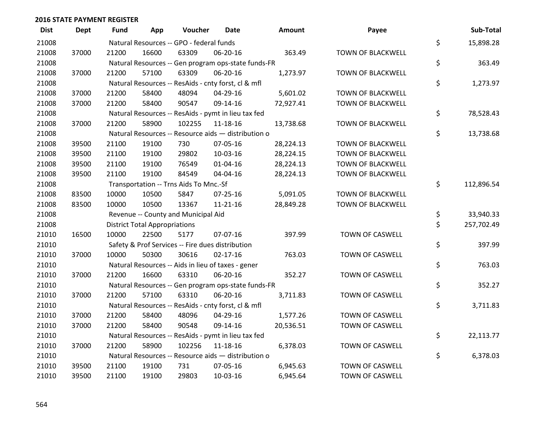| <b>Dist</b> | <b>Dept</b> | <b>Fund</b> | App                                  | Voucher                                             | Date           | Amount    | Payee                    | Sub-Total        |
|-------------|-------------|-------------|--------------------------------------|-----------------------------------------------------|----------------|-----------|--------------------------|------------------|
| 21008       |             |             |                                      | Natural Resources -- GPO - federal funds            |                |           |                          | \$<br>15,898.28  |
| 21008       | 37000       | 21200       | 16600                                | 63309                                               | 06-20-16       | 363.49    | TOWN OF BLACKWELL        |                  |
| 21008       |             |             |                                      | Natural Resources -- Gen program ops-state funds-FR |                |           |                          | \$<br>363.49     |
| 21008       | 37000       | 21200       | 57100                                | 63309                                               | 06-20-16       | 1,273.97  | <b>TOWN OF BLACKWELL</b> |                  |
| 21008       |             |             |                                      | Natural Resources -- ResAids - cnty forst, cl & mfl |                |           |                          | \$<br>1,273.97   |
| 21008       | 37000       | 21200       | 58400                                | 48094                                               | 04-29-16       | 5,601.02  | TOWN OF BLACKWELL        |                  |
| 21008       | 37000       | 21200       | 58400                                | 90547                                               | 09-14-16       | 72,927.41 | TOWN OF BLACKWELL        |                  |
| 21008       |             |             |                                      | Natural Resources -- ResAids - pymt in lieu tax fed |                |           |                          | \$<br>78,528.43  |
| 21008       | 37000       | 21200       | 58900                                | 102255                                              | 11-18-16       | 13,738.68 | TOWN OF BLACKWELL        |                  |
| 21008       |             |             |                                      | Natural Resources -- Resource aids - distribution o |                |           |                          | \$<br>13,738.68  |
| 21008       | 39500       | 21100       | 19100                                | 730                                                 | 07-05-16       | 28,224.13 | TOWN OF BLACKWELL        |                  |
| 21008       | 39500       | 21100       | 19100                                | 29802                                               | 10-03-16       | 28,224.15 | TOWN OF BLACKWELL        |                  |
| 21008       | 39500       | 21100       | 19100                                | 76549                                               | $01 - 04 - 16$ | 28,224.13 | TOWN OF BLACKWELL        |                  |
| 21008       | 39500       | 21100       | 19100                                | 84549                                               | 04-04-16       | 28,224.13 | TOWN OF BLACKWELL        |                  |
| 21008       |             |             |                                      | Transportation -- Trns Aids To Mnc.-Sf              |                |           |                          | \$<br>112,896.54 |
| 21008       | 83500       | 10000       | 10500                                | 5847                                                | $07 - 25 - 16$ | 5,091.05  | <b>TOWN OF BLACKWELL</b> |                  |
| 21008       | 83500       | 10000       | 10500                                | 13367                                               | $11 - 21 - 16$ | 28,849.28 | TOWN OF BLACKWELL        |                  |
| 21008       |             |             |                                      | Revenue -- County and Municipal Aid                 |                |           |                          | \$<br>33,940.33  |
| 21008       |             |             | <b>District Total Appropriations</b> |                                                     |                |           |                          | \$<br>257,702.49 |
| 21010       | 16500       | 10000       | 22500                                | 5177                                                | 07-07-16       | 397.99    | TOWN OF CASWELL          |                  |
| 21010       |             |             |                                      | Safety & Prof Services -- Fire dues distribution    |                |           |                          | \$<br>397.99     |
| 21010       | 37000       | 10000       | 50300                                | 30616                                               | $02 - 17 - 16$ | 763.03    | TOWN OF CASWELL          |                  |
| 21010       |             |             |                                      | Natural Resources -- Aids in lieu of taxes - gener  |                |           |                          | \$<br>763.03     |
| 21010       | 37000       | 21200       | 16600                                | 63310                                               | 06-20-16       | 352.27    | TOWN OF CASWELL          |                  |
| 21010       |             |             |                                      | Natural Resources -- Gen program ops-state funds-FR |                |           |                          | \$<br>352.27     |
| 21010       | 37000       | 21200       | 57100                                | 63310                                               | 06-20-16       | 3,711.83  | TOWN OF CASWELL          |                  |
| 21010       |             |             |                                      | Natural Resources -- ResAids - cnty forst, cl & mfl |                |           |                          | \$<br>3,711.83   |
| 21010       | 37000       | 21200       | 58400                                | 48096                                               | 04-29-16       | 1,577.26  | TOWN OF CASWELL          |                  |
| 21010       | 37000       | 21200       | 58400                                | 90548                                               | 09-14-16       | 20,536.51 | TOWN OF CASWELL          |                  |
| 21010       |             |             |                                      | Natural Resources -- ResAids - pymt in lieu tax fed |                |           |                          | \$<br>22,113.77  |
| 21010       | 37000       | 21200       | 58900                                | 102256                                              | 11-18-16       | 6,378.03  | TOWN OF CASWELL          |                  |
| 21010       |             |             |                                      | Natural Resources -- Resource aids - distribution o |                |           |                          | \$<br>6,378.03   |
| 21010       | 39500       | 21100       | 19100                                | 731                                                 | 07-05-16       | 6,945.63  | TOWN OF CASWELL          |                  |
| 21010       | 39500       | 21100       | 19100                                | 29803                                               | 10-03-16       | 6,945.64  | TOWN OF CASWELL          |                  |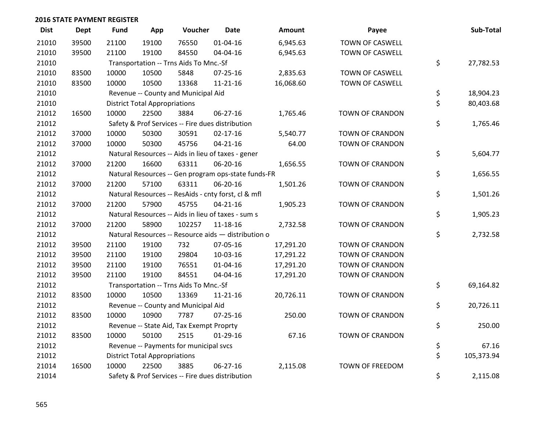| <b>Dist</b> | Dept  | <b>Fund</b> | App                                  | Voucher                                  | Date                                                | Amount    | Payee                  | Sub-Total        |
|-------------|-------|-------------|--------------------------------------|------------------------------------------|-----------------------------------------------------|-----------|------------------------|------------------|
| 21010       | 39500 | 21100       | 19100                                | 76550                                    | $01 - 04 - 16$                                      | 6,945.63  | TOWN OF CASWELL        |                  |
| 21010       | 39500 | 21100       | 19100                                | 84550                                    | 04-04-16                                            | 6,945.63  | TOWN OF CASWELL        |                  |
| 21010       |       |             |                                      | Transportation -- Trns Aids To Mnc.-Sf   |                                                     |           |                        | \$<br>27,782.53  |
| 21010       | 83500 | 10000       | 10500                                | 5848                                     | $07 - 25 - 16$                                      | 2,835.63  | TOWN OF CASWELL        |                  |
| 21010       | 83500 | 10000       | 10500                                | 13368                                    | $11 - 21 - 16$                                      | 16,068.60 | TOWN OF CASWELL        |                  |
| 21010       |       |             |                                      | Revenue -- County and Municipal Aid      |                                                     |           |                        | \$<br>18,904.23  |
| 21010       |       |             | <b>District Total Appropriations</b> |                                          |                                                     |           |                        | \$<br>80,403.68  |
| 21012       | 16500 | 10000       | 22500                                | 3884                                     | $06 - 27 - 16$                                      | 1,765.46  | <b>TOWN OF CRANDON</b> |                  |
| 21012       |       |             |                                      |                                          | Safety & Prof Services -- Fire dues distribution    |           |                        | \$<br>1,765.46   |
| 21012       | 37000 | 10000       | 50300                                | 30591                                    | $02 - 17 - 16$                                      | 5,540.77  | TOWN OF CRANDON        |                  |
| 21012       | 37000 | 10000       | 50300                                | 45756                                    | $04 - 21 - 16$                                      | 64.00     | TOWN OF CRANDON        |                  |
| 21012       |       |             |                                      |                                          | Natural Resources -- Aids in lieu of taxes - gener  |           |                        | \$<br>5,604.77   |
| 21012       | 37000 | 21200       | 16600                                | 63311                                    | 06-20-16                                            | 1,656.55  | TOWN OF CRANDON        |                  |
| 21012       |       |             |                                      |                                          | Natural Resources -- Gen program ops-state funds-FR |           |                        | \$<br>1,656.55   |
| 21012       | 37000 | 21200       | 57100                                | 63311                                    | 06-20-16                                            | 1,501.26  | TOWN OF CRANDON        |                  |
| 21012       |       |             |                                      |                                          | Natural Resources -- ResAids - cnty forst, cl & mfl |           |                        | \$<br>1,501.26   |
| 21012       | 37000 | 21200       | 57900                                | 45755                                    | $04 - 21 - 16$                                      | 1,905.23  | TOWN OF CRANDON        |                  |
| 21012       |       |             |                                      |                                          | Natural Resources -- Aids in lieu of taxes - sum s  |           |                        | \$<br>1,905.23   |
| 21012       | 37000 | 21200       | 58900                                | 102257                                   | $11 - 18 - 16$                                      | 2,732.58  | <b>TOWN OF CRANDON</b> |                  |
| 21012       |       |             |                                      |                                          | Natural Resources -- Resource aids - distribution o |           |                        | \$<br>2,732.58   |
| 21012       | 39500 | 21100       | 19100                                | 732                                      | 07-05-16                                            | 17,291.20 | TOWN OF CRANDON        |                  |
| 21012       | 39500 | 21100       | 19100                                | 29804                                    | 10-03-16                                            | 17,291.22 | TOWN OF CRANDON        |                  |
| 21012       | 39500 | 21100       | 19100                                | 76551                                    | $01 - 04 - 16$                                      | 17,291.20 | TOWN OF CRANDON        |                  |
| 21012       | 39500 | 21100       | 19100                                | 84551                                    | 04-04-16                                            | 17,291.20 | <b>TOWN OF CRANDON</b> |                  |
| 21012       |       |             |                                      | Transportation -- Trns Aids To Mnc.-Sf   |                                                     |           |                        | \$<br>69,164.82  |
| 21012       | 83500 | 10000       | 10500                                | 13369                                    | $11 - 21 - 16$                                      | 20,726.11 | TOWN OF CRANDON        |                  |
| 21012       |       |             |                                      | Revenue -- County and Municipal Aid      |                                                     |           |                        | \$<br>20,726.11  |
| 21012       | 83500 | 10000       | 10900                                | 7787                                     | $07 - 25 - 16$                                      | 250.00    | <b>TOWN OF CRANDON</b> |                  |
| 21012       |       |             |                                      | Revenue -- State Aid, Tax Exempt Proprty |                                                     |           |                        | \$<br>250.00     |
| 21012       | 83500 | 10000       | 50100                                | 2515                                     | $01-29-16$                                          | 67.16     | TOWN OF CRANDON        |                  |
| 21012       |       |             |                                      | Revenue -- Payments for municipal svcs   |                                                     |           |                        | \$<br>67.16      |
| 21012       |       |             | <b>District Total Appropriations</b> |                                          |                                                     |           |                        | \$<br>105,373.94 |
| 21014       | 16500 | 10000       | 22500                                | 3885                                     | 06-27-16                                            | 2,115.08  | <b>TOWN OF FREEDOM</b> |                  |
| 21014       |       |             |                                      |                                          | Safety & Prof Services -- Fire dues distribution    |           |                        | \$<br>2,115.08   |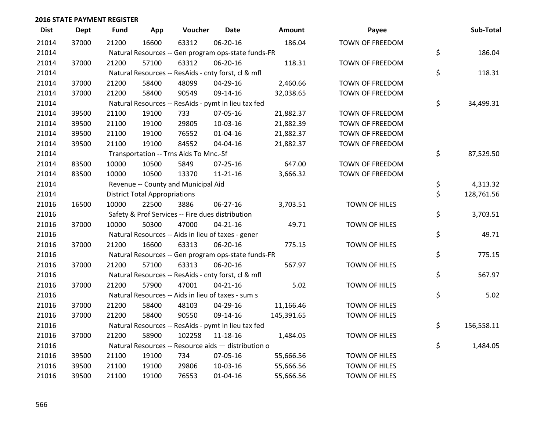| <b>Dist</b> | <b>Dept</b> | <b>Fund</b> | App                                  | Voucher                                             | <b>Date</b>    | Amount     | Payee                  | Sub-Total        |
|-------------|-------------|-------------|--------------------------------------|-----------------------------------------------------|----------------|------------|------------------------|------------------|
| 21014       | 37000       | 21200       | 16600                                | 63312                                               | 06-20-16       | 186.04     | <b>TOWN OF FREEDOM</b> |                  |
| 21014       |             |             |                                      | Natural Resources -- Gen program ops-state funds-FR |                |            |                        | \$<br>186.04     |
| 21014       | 37000       | 21200       | 57100                                | 63312                                               | 06-20-16       | 118.31     | TOWN OF FREEDOM        |                  |
| 21014       |             |             |                                      | Natural Resources -- ResAids - cnty forst, cl & mfl |                |            |                        | \$<br>118.31     |
| 21014       | 37000       | 21200       | 58400                                | 48099                                               | 04-29-16       | 2,460.66   | TOWN OF FREEDOM        |                  |
| 21014       | 37000       | 21200       | 58400                                | 90549                                               | 09-14-16       | 32,038.65  | TOWN OF FREEDOM        |                  |
| 21014       |             |             |                                      | Natural Resources -- ResAids - pymt in lieu tax fed |                |            |                        | \$<br>34,499.31  |
| 21014       | 39500       | 21100       | 19100                                | 733                                                 | 07-05-16       | 21,882.37  | TOWN OF FREEDOM        |                  |
| 21014       | 39500       | 21100       | 19100                                | 29805                                               | 10-03-16       | 21,882.39  | TOWN OF FREEDOM        |                  |
| 21014       | 39500       | 21100       | 19100                                | 76552                                               | 01-04-16       | 21,882.37  | TOWN OF FREEDOM        |                  |
| 21014       | 39500       | 21100       | 19100                                | 84552                                               | 04-04-16       | 21,882.37  | TOWN OF FREEDOM        |                  |
| 21014       |             |             |                                      | Transportation -- Trns Aids To Mnc.-Sf              |                |            |                        | \$<br>87,529.50  |
| 21014       | 83500       | 10000       | 10500                                | 5849                                                | 07-25-16       | 647.00     | TOWN OF FREEDOM        |                  |
| 21014       | 83500       | 10000       | 10500                                | 13370                                               | 11-21-16       | 3,666.32   | TOWN OF FREEDOM        |                  |
| 21014       |             |             |                                      | Revenue -- County and Municipal Aid                 |                |            |                        | \$<br>4,313.32   |
| 21014       |             |             | <b>District Total Appropriations</b> |                                                     |                |            |                        | \$<br>128,761.56 |
| 21016       | 16500       | 10000       | 22500                                | 3886                                                | 06-27-16       | 3,703.51   | <b>TOWN OF HILES</b>   |                  |
| 21016       |             |             |                                      | Safety & Prof Services -- Fire dues distribution    |                |            |                        | \$<br>3,703.51   |
| 21016       | 37000       | 10000       | 50300                                | 47000                                               | $04 - 21 - 16$ | 49.71      | <b>TOWN OF HILES</b>   |                  |
| 21016       |             |             |                                      | Natural Resources -- Aids in lieu of taxes - gener  |                |            |                        | \$<br>49.71      |
| 21016       | 37000       | 21200       | 16600                                | 63313                                               | 06-20-16       | 775.15     | <b>TOWN OF HILES</b>   |                  |
| 21016       |             |             |                                      | Natural Resources -- Gen program ops-state funds-FR |                |            |                        | \$<br>775.15     |
| 21016       | 37000       | 21200       | 57100                                | 63313                                               | 06-20-16       | 567.97     | <b>TOWN OF HILES</b>   |                  |
| 21016       |             |             |                                      | Natural Resources -- ResAids - cnty forst, cl & mfl |                |            |                        | \$<br>567.97     |
| 21016       | 37000       | 21200       | 57900                                | 47001                                               | $04 - 21 - 16$ | 5.02       | TOWN OF HILES          |                  |
| 21016       |             |             |                                      | Natural Resources -- Aids in lieu of taxes - sum s  |                |            |                        | \$<br>5.02       |
| 21016       | 37000       | 21200       | 58400                                | 48103                                               | 04-29-16       | 11,166.46  | TOWN OF HILES          |                  |
| 21016       | 37000       | 21200       | 58400                                | 90550                                               | 09-14-16       | 145,391.65 | <b>TOWN OF HILES</b>   |                  |
| 21016       |             |             |                                      | Natural Resources -- ResAids - pymt in lieu tax fed |                |            |                        | \$<br>156,558.11 |
| 21016       | 37000       | 21200       | 58900                                | 102258                                              | $11 - 18 - 16$ | 1,484.05   | <b>TOWN OF HILES</b>   |                  |
| 21016       |             |             |                                      | Natural Resources -- Resource aids - distribution o |                |            |                        | \$<br>1,484.05   |
| 21016       | 39500       | 21100       | 19100                                | 734                                                 | 07-05-16       | 55,666.56  | <b>TOWN OF HILES</b>   |                  |
| 21016       | 39500       | 21100       | 19100                                | 29806                                               | 10-03-16       | 55,666.56  | <b>TOWN OF HILES</b>   |                  |
| 21016       | 39500       | 21100       | 19100                                | 76553                                               | 01-04-16       | 55,666.56  | <b>TOWN OF HILES</b>   |                  |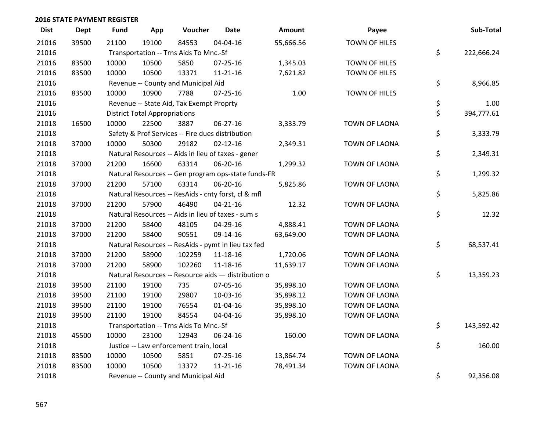| <b>Dist</b> | Dept  | <b>Fund</b> | App                                  | Voucher                                             | <b>Date</b>    | Amount    | Payee                | Sub-Total        |
|-------------|-------|-------------|--------------------------------------|-----------------------------------------------------|----------------|-----------|----------------------|------------------|
| 21016       | 39500 | 21100       | 19100                                | 84553                                               | 04-04-16       | 55,666.56 | <b>TOWN OF HILES</b> |                  |
| 21016       |       |             |                                      | Transportation -- Trns Aids To Mnc.-Sf              |                |           |                      | \$<br>222,666.24 |
| 21016       | 83500 | 10000       | 10500                                | 5850                                                | $07 - 25 - 16$ | 1,345.03  | <b>TOWN OF HILES</b> |                  |
| 21016       | 83500 | 10000       | 10500                                | 13371                                               | $11 - 21 - 16$ | 7,621.82  | TOWN OF HILES        |                  |
| 21016       |       |             |                                      | Revenue -- County and Municipal Aid                 |                |           |                      | \$<br>8,966.85   |
| 21016       | 83500 | 10000       | 10900                                | 7788                                                | $07 - 25 - 16$ | 1.00      | TOWN OF HILES        |                  |
| 21016       |       |             |                                      | Revenue -- State Aid, Tax Exempt Proprty            |                |           |                      | \$<br>1.00       |
| 21016       |       |             | <b>District Total Appropriations</b> |                                                     |                |           |                      | \$<br>394,777.61 |
| 21018       | 16500 | 10000       | 22500                                | 3887                                                | 06-27-16       | 3,333.79  | TOWN OF LAONA        |                  |
| 21018       |       |             |                                      | Safety & Prof Services -- Fire dues distribution    |                |           |                      | \$<br>3,333.79   |
| 21018       | 37000 | 10000       | 50300                                | 29182                                               | $02 - 12 - 16$ | 2,349.31  | TOWN OF LAONA        |                  |
| 21018       |       |             |                                      | Natural Resources -- Aids in lieu of taxes - gener  |                |           |                      | \$<br>2,349.31   |
| 21018       | 37000 | 21200       | 16600                                | 63314                                               | 06-20-16       | 1,299.32  | TOWN OF LAONA        |                  |
| 21018       |       |             |                                      | Natural Resources -- Gen program ops-state funds-FR |                |           |                      | \$<br>1,299.32   |
| 21018       | 37000 | 21200       | 57100                                | 63314                                               | 06-20-16       | 5,825.86  | TOWN OF LAONA        |                  |
| 21018       |       |             |                                      | Natural Resources -- ResAids - cnty forst, cl & mfl |                |           |                      | \$<br>5,825.86   |
| 21018       | 37000 | 21200       | 57900                                | 46490                                               | $04 - 21 - 16$ | 12.32     | TOWN OF LAONA        |                  |
| 21018       |       |             |                                      | Natural Resources -- Aids in lieu of taxes - sum s  |                |           |                      | \$<br>12.32      |
| 21018       | 37000 | 21200       | 58400                                | 48105                                               | 04-29-16       | 4,888.41  | TOWN OF LAONA        |                  |
| 21018       | 37000 | 21200       | 58400                                | 90551                                               | 09-14-16       | 63,649.00 | TOWN OF LAONA        |                  |
| 21018       |       |             |                                      | Natural Resources -- ResAids - pymt in lieu tax fed |                |           |                      | \$<br>68,537.41  |
| 21018       | 37000 | 21200       | 58900                                | 102259                                              | $11 - 18 - 16$ | 1,720.06  | TOWN OF LAONA        |                  |
| 21018       | 37000 | 21200       | 58900                                | 102260                                              | $11 - 18 - 16$ | 11,639.17 | TOWN OF LAONA        |                  |
| 21018       |       |             |                                      | Natural Resources -- Resource aids - distribution o |                |           |                      | \$<br>13,359.23  |
| 21018       | 39500 | 21100       | 19100                                | 735                                                 | 07-05-16       | 35,898.10 | TOWN OF LAONA        |                  |
| 21018       | 39500 | 21100       | 19100                                | 29807                                               | 10-03-16       | 35,898.12 | <b>TOWN OF LAONA</b> |                  |
| 21018       | 39500 | 21100       | 19100                                | 76554                                               | $01 - 04 - 16$ | 35,898.10 | TOWN OF LAONA        |                  |
| 21018       | 39500 | 21100       | 19100                                | 84554                                               | 04-04-16       | 35,898.10 | TOWN OF LAONA        |                  |
| 21018       |       |             |                                      | Transportation -- Trns Aids To Mnc.-Sf              |                |           |                      | \$<br>143,592.42 |
| 21018       | 45500 | 10000       | 23100                                | 12943                                               | 06-24-16       | 160.00    | TOWN OF LAONA        |                  |
| 21018       |       |             |                                      | Justice -- Law enforcement train, local             |                |           |                      | \$<br>160.00     |
| 21018       | 83500 | 10000       | 10500                                | 5851                                                | 07-25-16       | 13,864.74 | TOWN OF LAONA        |                  |
| 21018       | 83500 | 10000       | 10500                                | 13372                                               | $11 - 21 - 16$ | 78,491.34 | TOWN OF LAONA        |                  |
| 21018       |       |             |                                      | Revenue -- County and Municipal Aid                 |                |           |                      | \$<br>92,356.08  |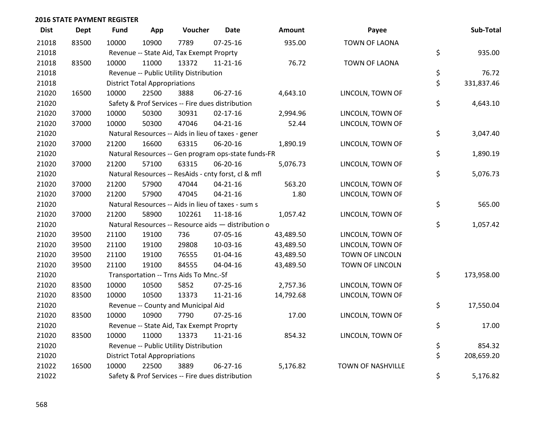| <b>Dist</b> | <b>Dept</b> | <b>Fund</b> | App                                  | Voucher                                             | <b>Date</b>    | <b>Amount</b> | Payee                    | Sub-Total        |
|-------------|-------------|-------------|--------------------------------------|-----------------------------------------------------|----------------|---------------|--------------------------|------------------|
| 21018       | 83500       | 10000       | 10900                                | 7789                                                | 07-25-16       | 935.00        | <b>TOWN OF LAONA</b>     |                  |
| 21018       |             |             |                                      | Revenue -- State Aid, Tax Exempt Proprty            |                |               |                          | \$<br>935.00     |
| 21018       | 83500       | 10000       | 11000                                | 13372                                               | 11-21-16       | 76.72         | TOWN OF LAONA            |                  |
| 21018       |             |             |                                      | Revenue -- Public Utility Distribution              |                |               |                          | \$<br>76.72      |
| 21018       |             |             | <b>District Total Appropriations</b> |                                                     |                |               |                          | \$<br>331,837.46 |
| 21020       | 16500       | 10000       | 22500                                | 3888                                                | 06-27-16       | 4,643.10      | LINCOLN, TOWN OF         |                  |
| 21020       |             |             |                                      | Safety & Prof Services -- Fire dues distribution    |                |               |                          | \$<br>4,643.10   |
| 21020       | 37000       | 10000       | 50300                                | 30931                                               | $02 - 17 - 16$ | 2,994.96      | LINCOLN, TOWN OF         |                  |
| 21020       | 37000       | 10000       | 50300                                | 47046                                               | $04 - 21 - 16$ | 52.44         | LINCOLN, TOWN OF         |                  |
| 21020       |             |             |                                      | Natural Resources -- Aids in lieu of taxes - gener  |                |               |                          | \$<br>3,047.40   |
| 21020       | 37000       | 21200       | 16600                                | 63315                                               | 06-20-16       | 1,890.19      | LINCOLN, TOWN OF         |                  |
| 21020       |             |             |                                      | Natural Resources -- Gen program ops-state funds-FR |                |               |                          | \$<br>1,890.19   |
| 21020       | 37000       | 21200       | 57100                                | 63315                                               | 06-20-16       | 5,076.73      | LINCOLN, TOWN OF         |                  |
| 21020       |             |             |                                      | Natural Resources -- ResAids - cnty forst, cl & mfl |                |               |                          | \$<br>5,076.73   |
| 21020       | 37000       | 21200       | 57900                                | 47044                                               | $04 - 21 - 16$ | 563.20        | LINCOLN, TOWN OF         |                  |
| 21020       | 37000       | 21200       | 57900                                | 47045                                               | $04 - 21 - 16$ | 1.80          | LINCOLN, TOWN OF         |                  |
| 21020       |             |             |                                      | Natural Resources -- Aids in lieu of taxes - sum s  |                |               |                          | \$<br>565.00     |
| 21020       | 37000       | 21200       | 58900                                | 102261                                              | 11-18-16       | 1,057.42      | LINCOLN, TOWN OF         |                  |
| 21020       |             |             |                                      | Natural Resources -- Resource aids - distribution o |                |               |                          | \$<br>1,057.42   |
| 21020       | 39500       | 21100       | 19100                                | 736                                                 | 07-05-16       | 43,489.50     | LINCOLN, TOWN OF         |                  |
| 21020       | 39500       | 21100       | 19100                                | 29808                                               | 10-03-16       | 43,489.50     | LINCOLN, TOWN OF         |                  |
| 21020       | 39500       | 21100       | 19100                                | 76555                                               | $01 - 04 - 16$ | 43,489.50     | TOWN OF LINCOLN          |                  |
| 21020       | 39500       | 21100       | 19100                                | 84555                                               | 04-04-16       | 43,489.50     | TOWN OF LINCOLN          |                  |
| 21020       |             |             |                                      | Transportation -- Trns Aids To Mnc.-Sf              |                |               |                          | \$<br>173,958.00 |
| 21020       | 83500       | 10000       | 10500                                | 5852                                                | $07 - 25 - 16$ | 2,757.36      | LINCOLN, TOWN OF         |                  |
| 21020       | 83500       | 10000       | 10500                                | 13373                                               | $11 - 21 - 16$ | 14,792.68     | LINCOLN, TOWN OF         |                  |
| 21020       |             |             |                                      | Revenue -- County and Municipal Aid                 |                |               |                          | \$<br>17,550.04  |
| 21020       | 83500       | 10000       | 10900                                | 7790                                                | $07 - 25 - 16$ | 17.00         | LINCOLN, TOWN OF         |                  |
| 21020       |             |             |                                      | Revenue -- State Aid, Tax Exempt Proprty            |                |               |                          | \$<br>17.00      |
| 21020       | 83500       | 10000       | 11000                                | 13373                                               | 11-21-16       | 854.32        | LINCOLN, TOWN OF         |                  |
| 21020       |             |             |                                      | Revenue -- Public Utility Distribution              |                |               |                          | \$<br>854.32     |
| 21020       |             |             | <b>District Total Appropriations</b> |                                                     |                |               |                          | \$<br>208,659.20 |
| 21022       | 16500       | 10000       | 22500                                | 3889                                                | 06-27-16       | 5,176.82      | <b>TOWN OF NASHVILLE</b> |                  |
| 21022       |             |             |                                      | Safety & Prof Services -- Fire dues distribution    |                |               |                          | \$<br>5,176.82   |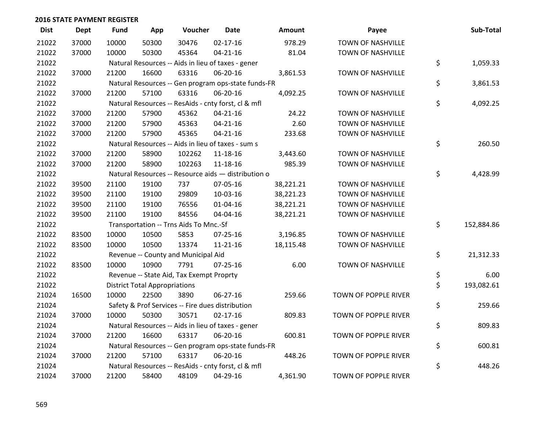| <b>Dist</b> | <b>Dept</b> | <b>Fund</b>                                         | App                                  | Voucher                                             | Date           | Amount    | Payee                    |    | Sub-Total  |
|-------------|-------------|-----------------------------------------------------|--------------------------------------|-----------------------------------------------------|----------------|-----------|--------------------------|----|------------|
| 21022       | 37000       | 10000                                               | 50300                                | 30476                                               | $02 - 17 - 16$ | 978.29    | TOWN OF NASHVILLE        |    |            |
| 21022       | 37000       | 10000                                               | 50300                                | 45364                                               | $04 - 21 - 16$ | 81.04     | TOWN OF NASHVILLE        |    |            |
| 21022       |             | Natural Resources -- Aids in lieu of taxes - gener  | \$                                   | 1,059.33                                            |                |           |                          |    |            |
| 21022       | 37000       | 21200                                               | 16600                                | 63316                                               | 06-20-16       | 3,861.53  | TOWN OF NASHVILLE        |    |            |
| 21022       |             | Natural Resources -- Gen program ops-state funds-FR | \$                                   | 3,861.53                                            |                |           |                          |    |            |
| 21022       | 37000       | 21200                                               | 57100                                | 63316                                               | 06-20-16       | 4,092.25  | <b>TOWN OF NASHVILLE</b> |    |            |
| 21022       |             |                                                     |                                      | Natural Resources -- ResAids - cnty forst, cl & mfl |                |           |                          | \$ | 4,092.25   |
| 21022       | 37000       | 21200                                               | 57900                                | 45362                                               | $04 - 21 - 16$ | 24.22     | TOWN OF NASHVILLE        |    |            |
| 21022       | 37000       | 21200                                               | 57900                                | 45363                                               | $04 - 21 - 16$ | 2.60      | TOWN OF NASHVILLE        |    |            |
| 21022       | 37000       | 21200                                               | 57900                                | 45365                                               | $04 - 21 - 16$ | 233.68    | TOWN OF NASHVILLE        |    |            |
| 21022       |             |                                                     |                                      | Natural Resources -- Aids in lieu of taxes - sum s  |                |           |                          | \$ | 260.50     |
| 21022       | 37000       | 21200                                               | 58900                                | 102262                                              | 11-18-16       | 3,443.60  | TOWN OF NASHVILLE        |    |            |
| 21022       | 37000       | 21200                                               | 58900                                | 102263                                              | 11-18-16       | 985.39    | TOWN OF NASHVILLE        |    |            |
| 21022       |             |                                                     |                                      | Natural Resources -- Resource aids - distribution o |                |           |                          | \$ | 4,428.99   |
| 21022       | 39500       | 21100                                               | 19100                                | 737                                                 | 07-05-16       | 38,221.21 | TOWN OF NASHVILLE        |    |            |
| 21022       | 39500       | 21100                                               | 19100                                | 29809                                               | 10-03-16       | 38,221.23 | TOWN OF NASHVILLE        |    |            |
| 21022       | 39500       | 21100                                               | 19100                                | 76556                                               | 01-04-16       | 38,221.21 | TOWN OF NASHVILLE        |    |            |
| 21022       | 39500       | 21100                                               | 19100                                | 84556                                               | 04-04-16       | 38,221.21 | TOWN OF NASHVILLE        |    |            |
| 21022       |             |                                                     |                                      | Transportation -- Trns Aids To Mnc.-Sf              |                |           |                          | \$ | 152,884.86 |
| 21022       | 83500       | 10000                                               | 10500                                | 5853                                                | 07-25-16       | 3,196.85  | TOWN OF NASHVILLE        |    |            |
| 21022       | 83500       | 10000                                               | 10500                                | 13374                                               | $11 - 21 - 16$ | 18,115.48 | TOWN OF NASHVILLE        |    |            |
| 21022       |             |                                                     |                                      | Revenue -- County and Municipal Aid                 |                |           |                          | \$ | 21,312.33  |
| 21022       | 83500       | 10000                                               | 10900                                | 7791                                                | $07 - 25 - 16$ | 6.00      | <b>TOWN OF NASHVILLE</b> |    |            |
| 21022       |             |                                                     |                                      | Revenue -- State Aid, Tax Exempt Proprty            |                |           |                          | \$ | 6.00       |
| 21022       |             |                                                     | <b>District Total Appropriations</b> |                                                     |                |           |                          | \$ | 193,082.61 |
| 21024       | 16500       | 10000                                               | 22500                                | 3890                                                | 06-27-16       | 259.66    | TOWN OF POPPLE RIVER     |    |            |
| 21024       |             |                                                     |                                      | Safety & Prof Services -- Fire dues distribution    |                |           |                          | \$ | 259.66     |
| 21024       | 37000       | 10000                                               | 50300                                | 30571                                               | 02-17-16       | 809.83    | TOWN OF POPPLE RIVER     |    |            |
| 21024       |             |                                                     |                                      | Natural Resources -- Aids in lieu of taxes - gener  |                |           |                          | \$ | 809.83     |
| 21024       | 37000       | 21200                                               | 16600                                | 63317                                               | 06-20-16       | 600.81    | TOWN OF POPPLE RIVER     |    |            |
| 21024       |             | Natural Resources -- Gen program ops-state funds-FR |                                      |                                                     |                |           |                          |    | 600.81     |
| 21024       | 37000       | 21200                                               | 57100                                | 63317                                               | 06-20-16       | 448.26    | TOWN OF POPPLE RIVER     |    |            |
| 21024       |             |                                                     |                                      | Natural Resources -- ResAids - cnty forst, cl & mfl |                |           |                          | \$ | 448.26     |
| 21024       | 37000       | 21200                                               | 58400                                | 48109                                               | 04-29-16       | 4,361.90  | TOWN OF POPPLE RIVER     |    |            |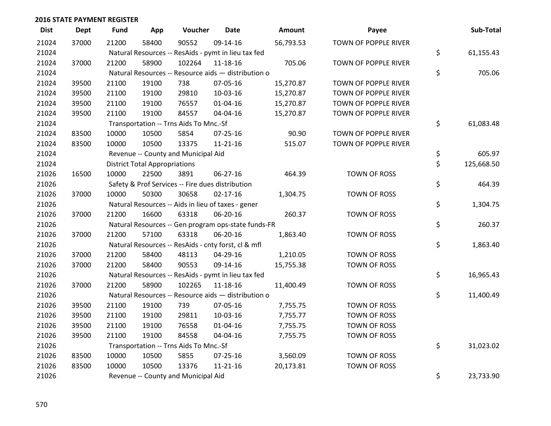| <b>Dist</b> | <b>Dept</b> | <b>Fund</b>                                         | App                                                 | Voucher                                             | <b>Date</b>    | Amount    | Payee                |    | Sub-Total  |  |  |
|-------------|-------------|-----------------------------------------------------|-----------------------------------------------------|-----------------------------------------------------|----------------|-----------|----------------------|----|------------|--|--|
| 21024       | 37000       | 21200                                               | 58400                                               | 90552                                               | 09-14-16       | 56,793.53 | TOWN OF POPPLE RIVER |    |            |  |  |
| 21024       |             | Natural Resources -- ResAids - pymt in lieu tax fed | \$                                                  | 61,155.43                                           |                |           |                      |    |            |  |  |
| 21024       | 37000       | 21200                                               | 58900                                               | 102264                                              | 11-18-16       | 705.06    | TOWN OF POPPLE RIVER |    |            |  |  |
| 21024       |             |                                                     | Natural Resources -- Resource aids - distribution o |                                                     |                |           |                      |    |            |  |  |
| 21024       | 39500       | 21100                                               | 19100                                               | 738                                                 | 07-05-16       | 15,270.87 | TOWN OF POPPLE RIVER |    |            |  |  |
| 21024       | 39500       | 21100                                               | 19100                                               | 29810                                               | 10-03-16       | 15,270.87 | TOWN OF POPPLE RIVER |    |            |  |  |
| 21024       | 39500       | 21100                                               | 19100                                               | 76557                                               | $01 - 04 - 16$ | 15,270.87 | TOWN OF POPPLE RIVER |    |            |  |  |
| 21024       | 39500       | 21100                                               | 19100                                               | 84557                                               | 04-04-16       | 15,270.87 | TOWN OF POPPLE RIVER |    |            |  |  |
| 21024       |             |                                                     |                                                     | Transportation -- Trns Aids To Mnc.-Sf              |                |           |                      | \$ | 61,083.48  |  |  |
| 21024       | 83500       | 10000                                               | 10500                                               | 5854                                                | $07 - 25 - 16$ | 90.90     | TOWN OF POPPLE RIVER |    |            |  |  |
| 21024       | 83500       | 10000                                               | 10500                                               | 13375                                               | 11-21-16       | 515.07    | TOWN OF POPPLE RIVER |    |            |  |  |
| 21024       |             |                                                     |                                                     | Revenue -- County and Municipal Aid                 |                |           |                      | \$ | 605.97     |  |  |
| 21024       |             |                                                     | <b>District Total Appropriations</b>                |                                                     |                |           |                      | \$ | 125,668.50 |  |  |
| 21026       | 16500       | 10000                                               | 22500                                               | 3891                                                | 06-27-16       | 464.39    | <b>TOWN OF ROSS</b>  |    |            |  |  |
| 21026       |             |                                                     |                                                     | Safety & Prof Services -- Fire dues distribution    |                |           |                      | \$ | 464.39     |  |  |
| 21026       | 37000       | 10000                                               | 50300                                               | 30658                                               | $02 - 17 - 16$ | 1,304.75  | TOWN OF ROSS         |    |            |  |  |
| 21026       |             |                                                     |                                                     | Natural Resources -- Aids in lieu of taxes - gener  |                |           |                      | \$ | 1,304.75   |  |  |
| 21026       | 37000       | 21200                                               | 16600                                               | 63318                                               | 06-20-16       | 260.37    | TOWN OF ROSS         |    |            |  |  |
| 21026       |             |                                                     |                                                     | Natural Resources -- Gen program ops-state funds-FR |                |           |                      | \$ | 260.37     |  |  |
| 21026       | 37000       | 21200                                               | 57100                                               | 63318                                               | 06-20-16       | 1,863.40  | TOWN OF ROSS         |    |            |  |  |
| 21026       |             |                                                     |                                                     | Natural Resources -- ResAids - cnty forst, cl & mfl |                |           |                      | \$ | 1,863.40   |  |  |
| 21026       | 37000       | 21200                                               | 58400                                               | 48113                                               | 04-29-16       | 1,210.05  | TOWN OF ROSS         |    |            |  |  |
| 21026       | 37000       | 21200                                               | 58400                                               | 90553                                               | 09-14-16       | 15,755.38 | TOWN OF ROSS         |    |            |  |  |
| 21026       |             |                                                     |                                                     | Natural Resources -- ResAids - pymt in lieu tax fed |                |           |                      | \$ | 16,965.43  |  |  |
| 21026       | 37000       | 21200                                               | 58900                                               | 102265                                              | 11-18-16       | 11,400.49 | <b>TOWN OF ROSS</b>  |    |            |  |  |
| 21026       |             |                                                     |                                                     | Natural Resources -- Resource aids - distribution o |                |           |                      | \$ | 11,400.49  |  |  |
| 21026       | 39500       | 21100                                               | 19100                                               | 739                                                 | 07-05-16       | 7,755.75  | TOWN OF ROSS         |    |            |  |  |
| 21026       | 39500       | 21100                                               | 19100                                               | 29811                                               | 10-03-16       | 7,755.77  | TOWN OF ROSS         |    |            |  |  |
| 21026       | 39500       | 21100                                               | 19100                                               | 76558                                               | $01 - 04 - 16$ | 7,755.75  | TOWN OF ROSS         |    |            |  |  |
| 21026       | 39500       | 21100                                               | 19100                                               | 84558                                               | 04-04-16       | 7,755.75  | TOWN OF ROSS         |    |            |  |  |
| 21026       |             | Transportation -- Trns Aids To Mnc.-Sf              |                                                     |                                                     |                |           |                      |    | 31,023.02  |  |  |
| 21026       | 83500       | 10000                                               | 10500                                               | 5855                                                | 07-25-16       | 3,560.09  | TOWN OF ROSS         |    |            |  |  |
| 21026       | 83500       | 10000                                               | 10500                                               | 13376                                               | $11 - 21 - 16$ | 20,173.81 | <b>TOWN OF ROSS</b>  |    |            |  |  |
| 21026       |             |                                                     |                                                     | Revenue -- County and Municipal Aid                 |                |           |                      | \$ | 23,733.90  |  |  |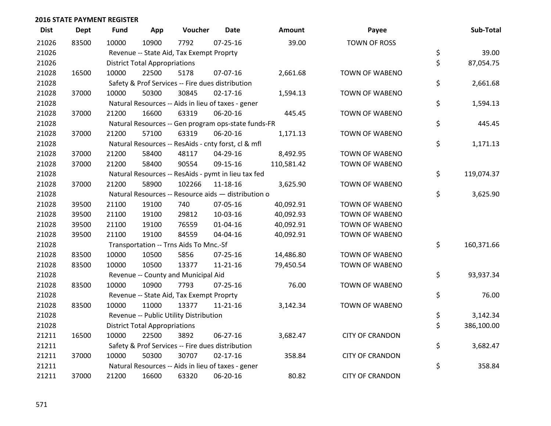| <b>Dist</b> | <b>Dept</b> | <b>Fund</b>                                      | App                                              | Voucher                                  | <b>Date</b>                                         | <b>Amount</b> | Payee                  |    | Sub-Total  |  |  |
|-------------|-------------|--------------------------------------------------|--------------------------------------------------|------------------------------------------|-----------------------------------------------------|---------------|------------------------|----|------------|--|--|
| 21026       | 83500       | 10000                                            | 10900                                            | 7792                                     | $07 - 25 - 16$                                      | 39.00         | <b>TOWN OF ROSS</b>    |    |            |  |  |
| 21026       |             |                                                  |                                                  | Revenue -- State Aid, Tax Exempt Proprty |                                                     |               |                        | \$ | 39.00      |  |  |
| 21026       |             | <b>District Total Appropriations</b>             | \$                                               | 87,054.75                                |                                                     |               |                        |    |            |  |  |
| 21028       | 16500       | 10000                                            | 22500                                            | 5178                                     | 07-07-16                                            | 2,661.68      | <b>TOWN OF WABENO</b>  |    |            |  |  |
| 21028       |             |                                                  | Safety & Prof Services -- Fire dues distribution |                                          |                                                     |               |                        |    |            |  |  |
| 21028       | 37000       | 10000                                            | 50300                                            | 30845                                    | $02 - 17 - 16$                                      | 1,594.13      | TOWN OF WABENO         |    |            |  |  |
| 21028       |             |                                                  |                                                  |                                          | Natural Resources -- Aids in lieu of taxes - gener  |               |                        | \$ | 1,594.13   |  |  |
| 21028       | 37000       | 21200                                            | 16600                                            | 63319                                    | 06-20-16                                            | 445.45        | <b>TOWN OF WABENO</b>  |    |            |  |  |
| 21028       |             |                                                  |                                                  |                                          | Natural Resources -- Gen program ops-state funds-FR |               |                        | \$ | 445.45     |  |  |
| 21028       | 37000       | 21200                                            | 57100                                            | 63319                                    | 06-20-16                                            | 1,171.13      | TOWN OF WABENO         |    |            |  |  |
| 21028       |             |                                                  |                                                  |                                          | Natural Resources -- ResAids - cnty forst, cl & mfl |               |                        | \$ | 1,171.13   |  |  |
| 21028       | 37000       | 21200                                            | 58400                                            | 48117                                    | 04-29-16                                            | 8,492.95      | TOWN OF WABENO         |    |            |  |  |
| 21028       | 37000       | 21200                                            | 58400                                            | 90554                                    | 09-15-16                                            | 110,581.42    | TOWN OF WABENO         |    |            |  |  |
| 21028       |             |                                                  |                                                  |                                          | Natural Resources -- ResAids - pymt in lieu tax fed |               |                        | \$ | 119,074.37 |  |  |
| 21028       | 37000       | 21200                                            | 58900                                            | 102266                                   | 11-18-16                                            | 3,625.90      | TOWN OF WABENO         |    |            |  |  |
| 21028       |             |                                                  |                                                  |                                          | Natural Resources -- Resource aids - distribution o |               |                        | \$ | 3,625.90   |  |  |
| 21028       | 39500       | 21100                                            | 19100                                            | 740                                      | 07-05-16                                            | 40,092.91     | <b>TOWN OF WABENO</b>  |    |            |  |  |
| 21028       | 39500       | 21100                                            | 19100                                            | 29812                                    | 10-03-16                                            | 40,092.93     | <b>TOWN OF WABENO</b>  |    |            |  |  |
| 21028       | 39500       | 21100                                            | 19100                                            | 76559                                    | $01 - 04 - 16$                                      | 40,092.91     | <b>TOWN OF WABENO</b>  |    |            |  |  |
| 21028       | 39500       | 21100                                            | 19100                                            | 84559                                    | 04-04-16                                            | 40,092.91     | TOWN OF WABENO         |    |            |  |  |
| 21028       |             |                                                  |                                                  | Transportation -- Trns Aids To Mnc.-Sf   |                                                     |               |                        | \$ | 160,371.66 |  |  |
| 21028       | 83500       | 10000                                            | 10500                                            | 5856                                     | $07 - 25 - 16$                                      | 14,486.80     | TOWN OF WABENO         |    |            |  |  |
| 21028       | 83500       | 10000                                            | 10500                                            | 13377                                    | 11-21-16                                            | 79,450.54     | TOWN OF WABENO         |    |            |  |  |
| 21028       |             |                                                  |                                                  | Revenue -- County and Municipal Aid      |                                                     |               |                        | \$ | 93,937.34  |  |  |
| 21028       | 83500       | 10000                                            | 10900                                            | 7793                                     | 07-25-16                                            | 76.00         | TOWN OF WABENO         |    |            |  |  |
| 21028       |             |                                                  |                                                  | Revenue -- State Aid, Tax Exempt Proprty |                                                     |               |                        | \$ | 76.00      |  |  |
| 21028       | 83500       | 10000                                            | 11000                                            | 13377                                    | $11 - 21 - 16$                                      | 3,142.34      | TOWN OF WABENO         |    |            |  |  |
| 21028       |             |                                                  |                                                  | Revenue -- Public Utility Distribution   |                                                     |               |                        | \$ | 3,142.34   |  |  |
| 21028       |             |                                                  | <b>District Total Appropriations</b>             |                                          |                                                     |               |                        | \$ | 386,100.00 |  |  |
| 21211       | 16500       | 10000                                            | 22500                                            | 3892                                     | 06-27-16                                            | 3,682.47      | <b>CITY OF CRANDON</b> |    |            |  |  |
| 21211       |             | Safety & Prof Services -- Fire dues distribution |                                                  | \$                                       | 3,682.47                                            |               |                        |    |            |  |  |
| 21211       | 37000       | 10000                                            | 50300                                            | 30707                                    | $02 - 17 - 16$                                      | 358.84        | <b>CITY OF CRANDON</b> |    |            |  |  |
| 21211       |             |                                                  |                                                  |                                          | Natural Resources -- Aids in lieu of taxes - gener  |               |                        | \$ | 358.84     |  |  |
| 21211       | 37000       | 21200                                            | 16600                                            | 63320                                    | 06-20-16                                            | 80.82         | <b>CITY OF CRANDON</b> |    |            |  |  |